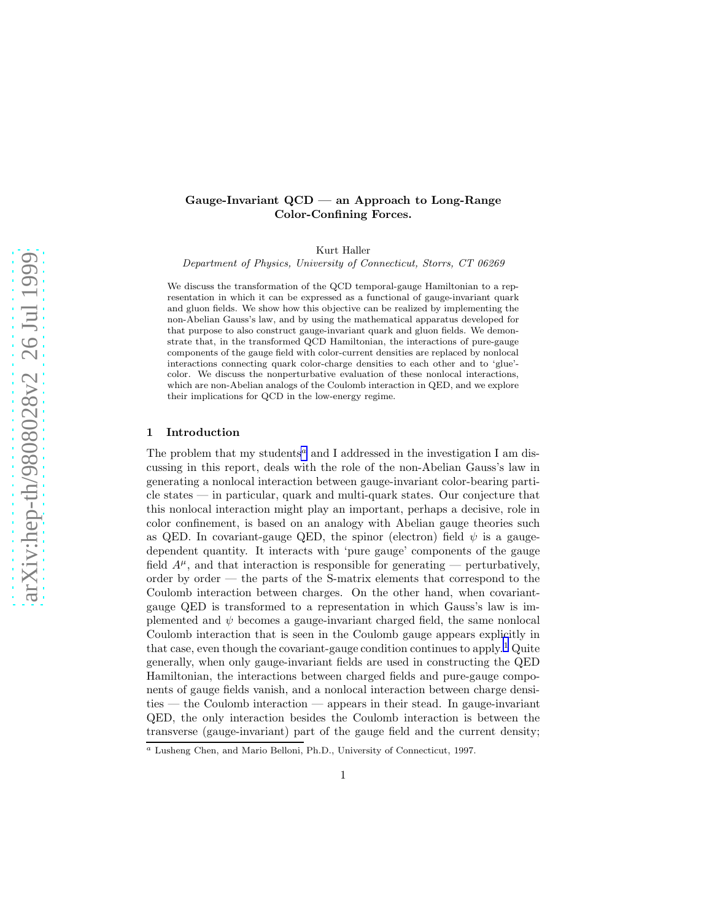# Gauge-Invariant QCD — an Approach to Long-Range Color-Confining Forces.

Kurt Haller

Department of Physics, University of Connecticut, Storrs, CT 06269

We discuss the transformation of the QCD temporal-gauge Hamiltonian to a representation in which it can be expressed as a functional of gauge-invariant quark and gluon fields. We show how this objective can be realized by implementing the non-Abelian Gauss's law, and by using the mathematical apparatus developed for that purpose to also construct gauge-invariant quark and gluon fields. We demonstrate that, in the transformed QCD Hamiltonian, the interactions of pure-gauge components of the gauge field with color-current densities are replaced by nonlocal interactions connecting quark color-charge densities to each other and to 'glue' color. We discuss the nonperturbative evaluation of these nonlocal interactions, which are non-Abelian analogs of the Coulomb interaction in QED, and we explore their implications for QCD in the low-energy regime.

#### 1 Introduction

The problem that my students<sup> $a$ </sup> and I addressed in the investigation I am discussing in this report, deals with the role of the non-Abelian Gauss's law in generating a nonlocal interaction between gauge-invariant color-bearing particle states — in particular, quark and multi-quark states. Our conjecture that this nonlocal interaction might play an important, perhaps a decisive, role in color confinement, is based on an analogy with Abelian gauge theories such as QED. In covariant-gauge QED, the spinor (electron) field  $\psi$  is a gaugedependent quantity. It interacts with 'pure gauge' components of the gauge field  $A^{\mu}$ , and that interaction is responsible for generating — perturbatively, order by order — the parts of the S-matrix elements that correspond to the Coulomb interaction between charges. On the other hand, when covariantgauge QED is transformed to a representation in which Gauss's law is implemented and  $\psi$  becomes a gauge-invariant charged field, the same nonlocal Coulomb interaction that is seen in the Coulomb gauge appears explicitly in that case, even though the covariant-gauge condition continues to apply.<sup>[1](#page-7-0)</sup> Quite generally, when only gauge-invariant fields are used in constructing the QED Hamiltonian, the interactions between charged fields and pure-gauge components of gauge fields vanish, and a nonlocal interaction between charge densities — the Coulomb interaction — appears in their stead. In gauge-invariant QED, the only interaction besides the Coulomb interaction is between the transverse (gauge-invariant) part of the gauge field and the current density;

<sup>a</sup> Lusheng Chen, and Mario Belloni, Ph.D., University of Connecticut, 1997.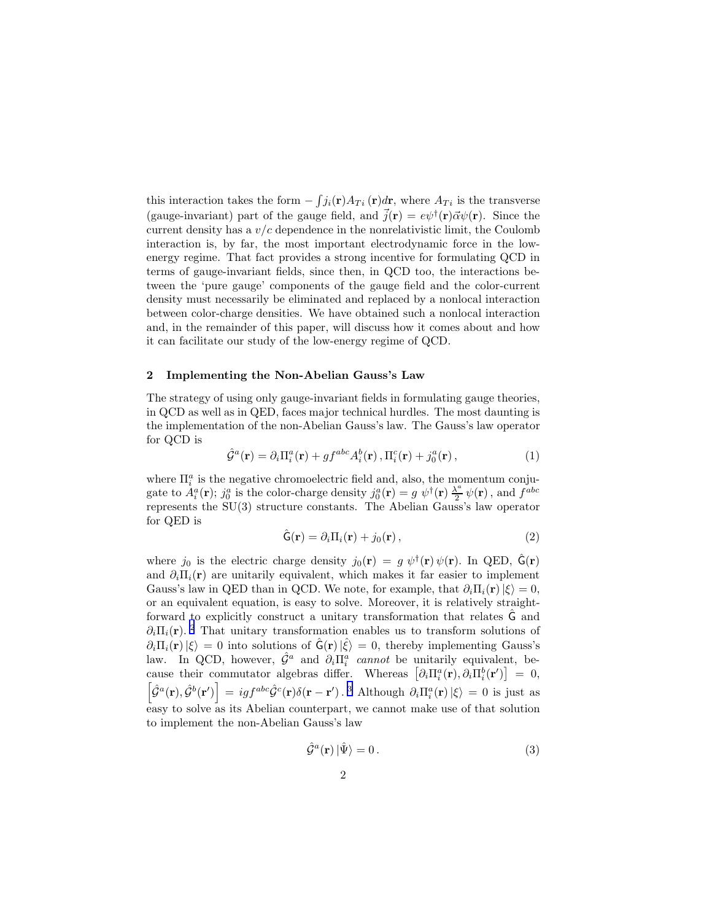<span id="page-1-0"></span>this interaction takes the form  $-\int j_i(\mathbf{r})A_{Ti}(\mathbf{r})d\mathbf{r}$ , where  $A_{Ti}$  is the transverse (gauge-invariant) part of the gauge field, and  $\vec{j}(\mathbf{r}) = e\psi^{\dagger}(\mathbf{r})\vec{\alpha}\psi(\mathbf{r})$ . Since the current density has a  $v/c$  dependence in the nonrelativistic limit, the Coulomb interaction is, by far, the most important electrodynamic force in the lowenergy regime. That fact provides a strong incentive for formulating QCD in terms of gauge-invariant fields, since then, in QCD too, the interactions between the 'pure gauge' components of the gauge field and the color-current density must necessarily be eliminated and replaced by a nonlocal interaction between color-charge densities. We have obtained such a nonlocal interaction and, in the remainder of this paper, will discuss how it comes about and how it can facilitate our study of the low-energy regime of QCD.

### 2 Implementing the Non-Abelian Gauss's Law

The strategy of using only gauge-invariant fields in formulating gauge theories, in QCD as well as in QED, faces major technical hurdles. The most daunting is the implementation of the non-Abelian Gauss's law. The Gauss's law operator for QCD is

$$
\hat{\mathcal{G}}^{a}(\mathbf{r}) = \partial_{i} \Pi_{i}^{a}(\mathbf{r}) + gf^{abc} A_{i}^{b}(\mathbf{r}), \Pi_{i}^{c}(\mathbf{r}) + j_{0}^{a}(\mathbf{r}), \qquad (1)
$$

where  $\Pi_i^a$  is the negative chromoelectric field and, also, the momentum conjugate to  $A_i^a(\mathbf{r}); j_0^a$  is the color-charge density  $j_0^a(\mathbf{r}) = g \psi^{\dagger}(\mathbf{r}) \frac{\lambda^a}{2}$  $\frac{\Lambda^a}{2} \psi(\mathbf{r})$ , and  $f^{abc}$ represents the SU(3) structure constants. The Abelian Gauss's law operator for QED is

$$
\hat{\mathsf{G}}(\mathbf{r}) = \partial_i \Pi_i(\mathbf{r}) + j_0(\mathbf{r}), \qquad (2)
$$

where  $j_0$  is the electric charge density  $j_0(\mathbf{r}) = g \psi^{\dagger}(\mathbf{r}) \psi(\mathbf{r})$ . In QED,  $\hat{\mathsf{G}}(\mathbf{r})$ and  $\partial_i \Pi_i(\mathbf{r})$  are unitarily equivalent, which makes it far easier to implement Gauss's law in QED than in QCD. We note, for example, that  $\partial_i \Pi_i(\mathbf{r})|\xi\rangle = 0$ , or an equivalent equation, is easy to solve. Moreover, it is relatively straightforward to explicitly construct a unitary transformation that relates G and  $\partial_i\Pi_i(\mathbf{r})$ . <sup>[2](#page-7-0)</sup> That unitary transformation enables us to transform solutions of  $\partial_i \Pi_i(\mathbf{r}) |\xi\rangle = 0$  into solutions of  $\hat{\mathsf{G}}(\mathbf{r}) |\hat{\xi}\rangle = 0$ , thereby implementing Gauss's law. In QCD, however,  $\hat{\mathcal{G}}^a$  and  $\partial_i \Pi_i^a$  cannot be unitarily equivalent, because their commutator algebras differ. Whereas  $\left[\partial_i \Pi_i^a(\mathbf{r}), \partial_i \Pi_i^b(\mathbf{r}^\prime)\right] = 0$ ,  $\left[\hat{\mathcal{G}}^{a}(\mathbf{r}),\hat{\mathcal{G}}^{b}(\mathbf{r}')\right] = igf^{abc}\hat{\mathcal{G}}^{c}(\mathbf{r})\delta(\mathbf{r}-\mathbf{r}')$ .<sup>[3](#page-7-0)</sup> Although  $\partial_{i}\Pi_{i}^{a}(\mathbf{r})|\xi\rangle = 0$  is just as easy to solve as its Abelian counterpart, we cannot make use of that solution to implement the non-Abelian Gauss's law

$$
\hat{\mathcal{G}}^a(\mathbf{r}) \left| \hat{\Psi} \right\rangle = 0. \tag{3}
$$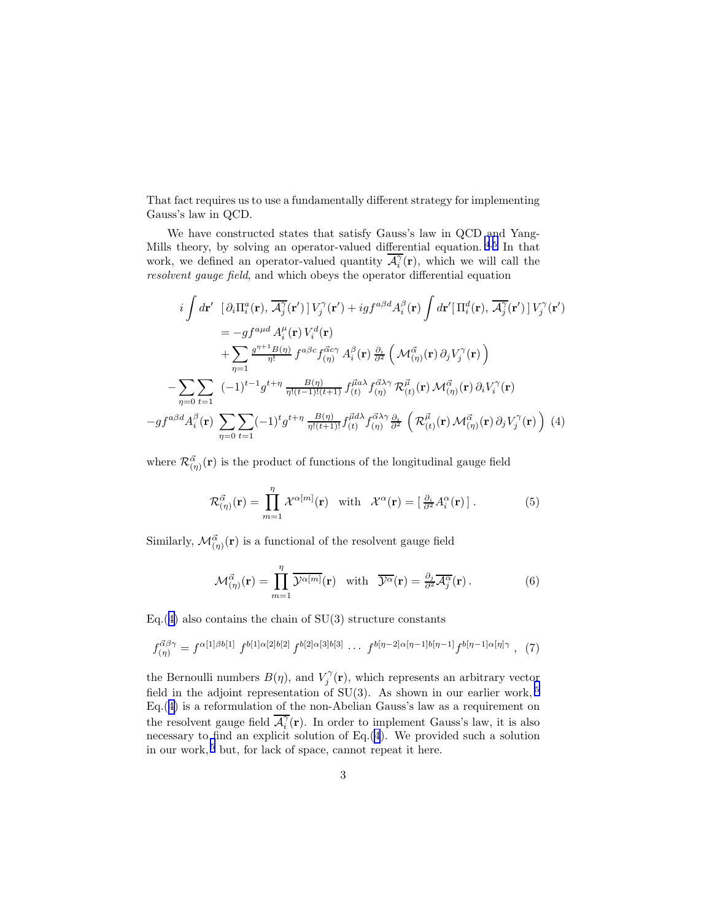That fact requires us to use a fundamentally different strategy for implementing Gauss's law in QCD.

We have constructed states that satisfy Gauss's law in QCD and Yang-Mills theory, by solving an operator-valued differential equation.  $4.5$  $4.5$  $4.5$  In that work, we defined an operator-valued quantity  $\overline{\mathcal{A}_i^{\gamma}}(\mathbf{r})$ , which we will call the resolvent gauge field, and which obeys the operator differential equation

$$
i\int d\mathbf{r}' \left[ \partial_i \Pi_i^a(\mathbf{r}), \overline{\mathcal{A}_j^{\gamma}}(\mathbf{r}') \right] V_j^{\gamma}(\mathbf{r}') + ig f^{a\beta d} A_i^{\beta}(\mathbf{r}) \int d\mathbf{r}' \left[ \Pi_i^d(\mathbf{r}), \overline{\mathcal{A}_j^{\gamma}}(\mathbf{r}') \right] V_j^{\gamma}(\mathbf{r}')
$$
  
\n
$$
= -gf^{a\mu d} A_i^{\mu}(\mathbf{r}) V_i^d(\mathbf{r})
$$
  
\n
$$
+ \sum_{\eta=1} \frac{g^{\eta+1} B(\eta)}{\eta!} f^{a\beta c} f^{\vec{\alpha} c\gamma}_{(\eta)} A_i^{\beta}(\mathbf{r}) \frac{\partial_i}{\partial^2} \left( \mathcal{M}_{(\eta)}^{\vec{\alpha}}(\mathbf{r}) \partial_j V_j^{\gamma}(\mathbf{r}) \right)
$$
  
\n
$$
- \sum_{\eta=0} \sum_{t=1} (-1)^{t-1} g^{t+\eta} \frac{B(\eta)}{\eta! (t-1)! (t+1)} f^{\vec{\mu} a\lambda}_{(t)} f^{\vec{\alpha}\lambda\gamma}_{(\eta)} \mathcal{R}_{(t)}^{\vec{\mu}}(\mathbf{r}) \mathcal{M}_{(\eta)}^{\vec{\alpha}}(\mathbf{r}) \partial_i V_i^{\gamma}(\mathbf{r})
$$
  
\n
$$
-gf^{a\beta d} A_i^{\beta}(\mathbf{r}) \sum_{\eta=0} \sum_{t=1} (-1)^t g^{t+\eta} \frac{B(\eta)}{\eta! (t+1)!} f^{\vec{\mu} d\lambda}_{(t)} f^{\vec{\alpha}\lambda\gamma}_{(\eta)} \frac{\partial_i}{\partial^2} \left( \mathcal{R}_{(t)}^{\vec{\mu}}(\mathbf{r}) \mathcal{M}_{(\eta)}^{\vec{\alpha}}(\mathbf{r}) \partial_j V_j^{\gamma}(\mathbf{r}) \right) (4)
$$

where  $\mathcal{R}^{\vec{\alpha}}_{(\eta)}(\mathbf{r})$  is the product of functions of the longitudinal gauge field

$$
\mathcal{R}_{(\eta)}^{\vec{\alpha}}(\mathbf{r}) = \prod_{m=1}^{\eta} \mathcal{X}^{\alpha[m]}(\mathbf{r}) \quad \text{with} \quad \mathcal{X}^{\alpha}(\mathbf{r}) = \left[\frac{\partial_i}{\partial^2} A_i^{\alpha}(\mathbf{r})\right]. \tag{5}
$$

Similarly,  $\mathcal{M}^{\vec{\alpha}}_{(\eta)}(\mathbf{r})$  is a functional of the resolvent gauge field

$$
\mathcal{M}_{(\eta)}^{\vec{\alpha}}(\mathbf{r}) = \prod_{m=1}^{\eta} \overline{\mathcal{Y}^{\alpha[m]}}(\mathbf{r}) \quad \text{with} \quad \overline{\mathcal{Y}^{\alpha}}(\mathbf{r}) = \frac{\partial_j}{\partial^2} \overline{\mathcal{A}_j^{\alpha}}(\mathbf{r}). \tag{6}
$$

Eq.(4) also contains the chain of  $SU(3)$  structure constants

$$
f_{(\eta)}^{\vec{\alpha}\beta\gamma} = f^{\alpha[1]\beta b[1]} f^{b[1]\alpha[2]b[2]} f^{b[2]\alpha[3]b[3]} \cdots f^{b[\eta-2]\alpha[\eta-1]b[\eta-1]} f^{b[\eta-1]\alpha[\eta]\gamma}, (7)
$$

the Bernoulli numbers  $B(\eta)$ , and  $V_j^{\gamma}(\mathbf{r})$ , which represents an arbitrary vector field in the adjoint representation of SU(3). As shown in our earlier work,  $5$  $Eq.(4)$  is a reformulation of the non-Abelian Gauss's law as a requirement on the resolvent gauge field  $\overline{\mathcal{A}_i^{\gamma}}(\mathbf{r})$ . In order to implement Gauss's law, it is also necessary to find an explicit solution of Eq.(4). We provided such a solution in our work, [5](#page-7-0) but, for lack of space, cannot repeat it here.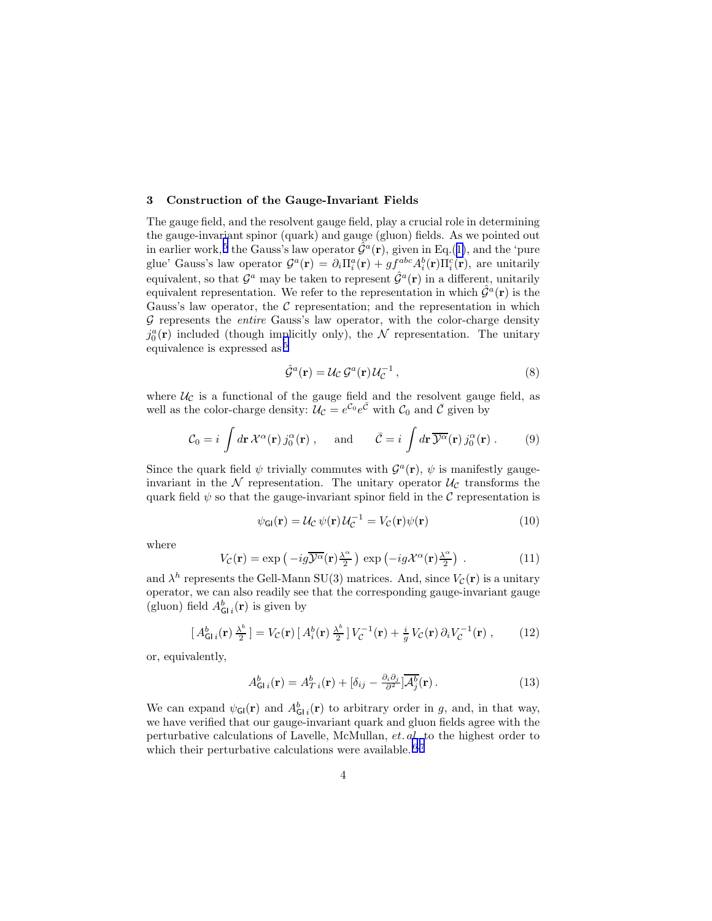#### 3 Construction of the Gauge-Invariant Fields

The gauge field, and the resolvent gauge field, play a crucial role in determining the gauge-invariant spinor (quark) and gauge (gluon) fields. As we pointed out in earlier work,<sup>[5](#page-7-0)</sup> the Gauss's law operator  $\hat{G}^a(\mathbf{r})$ , given in Eq.([1\)](#page-1-0), and the 'pure glue' Gauss's law operator  $\mathcal{G}^a(\mathbf{r}) = \partial_i \Pi_i^a(\mathbf{r}) + gf^{abc} A_i^b(\mathbf{r}) \Pi_i^c(\mathbf{r})$ , are unitarily equivalent, so that  $\mathcal{G}^a$  may be taken to represent  $\hat{\mathcal{G}}^a(\mathbf{r})$  in a different, unitarily equivalent representation. We refer to the representation in which  $\hat{\mathcal{G}}^{\hat{a}}(\mathbf{r})$  is the Gauss's law operator, the  $\mathcal C$  representation; and the representation in which  $G$  represents the *entire* Gauss's law operator, with the color-charge density  $j_0^a(\mathbf{r})$  included (though implicitly only), the  $\mathcal N$  representation. The unitary equivalence is expressed as [5](#page-7-0)

$$
\hat{\mathcal{G}}^a(\mathbf{r}) = \mathcal{U}_{\mathcal{C}} \mathcal{G}^a(\mathbf{r}) \mathcal{U}_{\mathcal{C}}^{-1},\tag{8}
$$

where  $U_{\mathcal{C}}$  is a functional of the gauge field and the resolvent gauge field, as well as the color-charge density:  $\mathcal{U}_{\mathcal{C}} = e^{\mathcal{C}_0} e^{\bar{\mathcal{C}}}$  with  $\mathcal{C}_0$  and  $\bar{\mathcal{C}}$  given by

$$
\mathcal{C}_0 = i \int d\mathbf{r} \, \mathcal{X}^\alpha(\mathbf{r}) \, j_0^\alpha(\mathbf{r}) \;, \quad \text{and} \quad \bar{\mathcal{C}} = i \int d\mathbf{r} \, \overline{\mathcal{Y}^\alpha}(\mathbf{r}) \, j_0^\alpha(\mathbf{r}) \;.
$$
 (9)

Since the quark field  $\psi$  trivially commutes with  $\mathcal{G}^a(\mathbf{r}), \psi$  is manifestly gaugeinvariant in the  $N$  representation. The unitary operator  $\mathcal{U}_{\mathcal{C}}$  transforms the quark field  $\psi$  so that the gauge-invariant spinor field in the C representation is

$$
\psi_{\mathsf{GI}}(\mathbf{r}) = \mathcal{U}_{\mathcal{C}} \psi(\mathbf{r}) \mathcal{U}_{\mathcal{C}}^{-1} = V_{\mathcal{C}}(\mathbf{r}) \psi(\mathbf{r}) \tag{10}
$$

where

$$
V_{\mathcal{C}}(\mathbf{r}) = \exp\left(-ig\overline{\mathcal{Y}^{\alpha}}(\mathbf{r})\frac{\lambda^{\alpha}}{2}\right) \exp\left(-ig\mathcal{X}^{\alpha}(\mathbf{r})\frac{\lambda^{\alpha}}{2}\right) . \tag{11}
$$

and  $\lambda^h$  represents the Gell-Mann SU(3) matrices. And, since  $V_{\mathcal{C}}(\mathbf{r})$  is a unitary operator, we can also readily see that the corresponding gauge-invariant gauge (gluon) field  $A_{\mathsf{GI}i}^b(\mathbf{r})$  is given by

$$
[A_{\mathsf{GI}i}^{b}(\mathbf{r})\frac{\lambda^{b}}{2}] = V_{\mathcal{C}}(\mathbf{r})[A_{i}^{b}(\mathbf{r})\frac{\lambda^{b}}{2}]V_{\mathcal{C}}^{-1}(\mathbf{r}) + \frac{i}{g}V_{\mathcal{C}}(\mathbf{r})\partial_{i}V_{\mathcal{C}}^{-1}(\mathbf{r}), \qquad (12)
$$

or, equivalently,

$$
A_{\mathbf{G}i\ i}^{b}(\mathbf{r}) = A_{T\ i}^{b}(\mathbf{r}) + [\delta_{ij} - \frac{\partial_{i}\partial_{j}}{\partial^{2}}] \overline{\mathcal{A}_{j}^{b}}(\mathbf{r}). \tag{13}
$$

We can expand  $\psi_{\mathsf{GI}}(\mathbf{r})$  and  $A_{\mathsf{GI}_i}^b(\mathbf{r})$  to arbitrary order in g, and, in that way, we have verified that our gauge-invariant quark and gluon fields agree with the perturbative calculations of Lavelle, McMullan, et. al. to the highest order to which their perturbative calculations were available.  $6,7$  $6,7$  $6,7$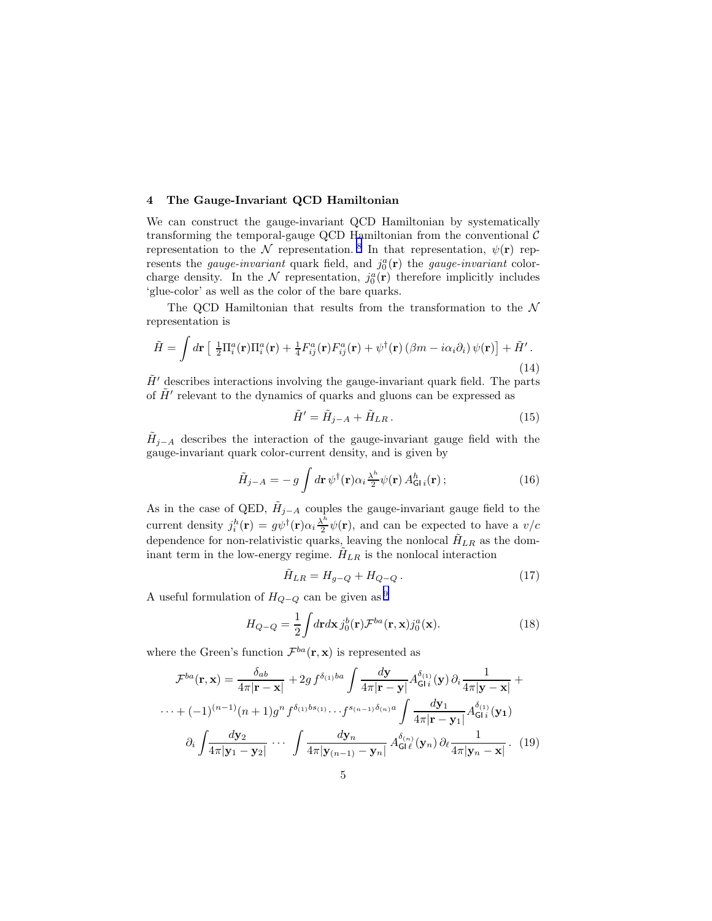## <span id="page-4-0"></span>4 The Gauge-Invariant QCD Hamiltonian

We can construct the gauge-invariant QCD Hamiltonian by systematically transforming the temporal-gauge QCD Hamiltonian from the conventional  $\mathcal C$ representation to the N representation.<sup>[8](#page-7-0)</sup> In that representation,  $\psi(\mathbf{r})$  represents the *gauge-invariant* quark field, and  $j_0^a(\mathbf{r})$  the *gauge-invariant* colorcharge density. In the  $\mathcal N$  representation,  $j_0^a(\mathbf r)$  therefore implicitly includes 'glue-color' as well as the color of the bare quarks.

The QCD Hamiltonian that results from the transformation to the  $\mathcal N$ representation is

$$
\tilde{H} = \int d\mathbf{r} \left[ \frac{1}{2} \Pi_i^a(\mathbf{r}) \Pi_i^a(\mathbf{r}) + \frac{1}{4} F_{ij}^a(\mathbf{r}) F_{ij}^a(\mathbf{r}) + \psi^\dagger(\mathbf{r}) \left( \beta m - i \alpha_i \partial_i \right) \psi(\mathbf{r}) \right] + \tilde{H}'.
$$
\n(14)

 $\tilde{H}'$  describes interactions involving the gauge-invariant quark field. The parts of  $\tilde{H}'$  relevant to the dynamics of quarks and gluons can be expressed as

$$
\tilde{H}' = \tilde{H}_{j-A} + \tilde{H}_{LR}.
$$
\n(15)

 $\tilde{H}_{j-A}$  describes the interaction of the gauge-invariant gauge field with the gauge-invariant quark color-current density, and is given by

$$
\tilde{H}_{j-A} = -g \int d\mathbf{r} \,\psi^{\dagger}(\mathbf{r}) \alpha_i \frac{\lambda^h}{2} \psi(\mathbf{r}) A^h_{\mathsf{GI}i}(\mathbf{r}) ; \tag{16}
$$

As in the case of QED,  $\tilde{H}_{j-A}$  couples the gauge-invariant gauge field to the current density  $j_i^h(\mathbf{r}) = g\psi^{\dagger}(\mathbf{r})\alpha_i \frac{\lambda^h}{2}$  $\frac{\partial u}{\partial x} \psi(\mathbf{r})$ , and can be expected to have a  $v/c$ dependence for non-relativistic quarks, leaving the nonlocal  $H_{LR}$  as the dominant term in the low-energy regime.  $H_{LR}$  is the nonlocal interaction

$$
\tilde{H}_{LR} = H_{g-Q} + H_{Q-Q} \,. \tag{17}
$$

A useful formulation of  $H_{Q-Q}$  can be given as <sup>[9](#page-7-0)</sup>

$$
H_{Q-Q} = \frac{1}{2} \int d\mathbf{r} d\mathbf{x} \, j_0^b(\mathbf{r}) \mathcal{F}^{ba}(\mathbf{r}, \mathbf{x}) j_0^a(\mathbf{x}). \tag{18}
$$

where the Green's function  $\mathcal{F}^{ba}(\mathbf{r}, \mathbf{x})$  is represented as

$$
\mathcal{F}^{ba}(\mathbf{r}, \mathbf{x}) = \frac{\delta_{ab}}{4\pi |\mathbf{r} - \mathbf{x}|} + 2g f^{\delta_{(1)}ba} \int \frac{d\mathbf{y}}{4\pi |\mathbf{r} - \mathbf{y}|} A^{\delta_{(1)}}_{\mathsf{GI}i}(\mathbf{y}) \partial_i \frac{1}{4\pi |\mathbf{y} - \mathbf{x}|} + \cdots + (-1)^{(n-1)} (n+1) g^n f^{\delta_{(1)}bs_{(1)}} \cdots f^{s_{(n-1)}\delta_{(n)}a} \int \frac{d\mathbf{y}_1}{4\pi |\mathbf{r} - \mathbf{y}_1|} A^{\delta_{(1)}}_{\mathsf{GI}i}(\mathbf{y}_1) + \partial_i \int \frac{d\mathbf{y}_2}{4\pi |\mathbf{y}_1 - \mathbf{y}_2|} \cdots \int \frac{d\mathbf{y}_n}{4\pi |\mathbf{y}_{(n-1)} - \mathbf{y}_n|} A^{\delta_{(n)}}_{\mathsf{GI}i}(\mathbf{y}_n) \partial_i \frac{1}{4\pi |\mathbf{y}_n - \mathbf{x}|} . \tag{19}
$$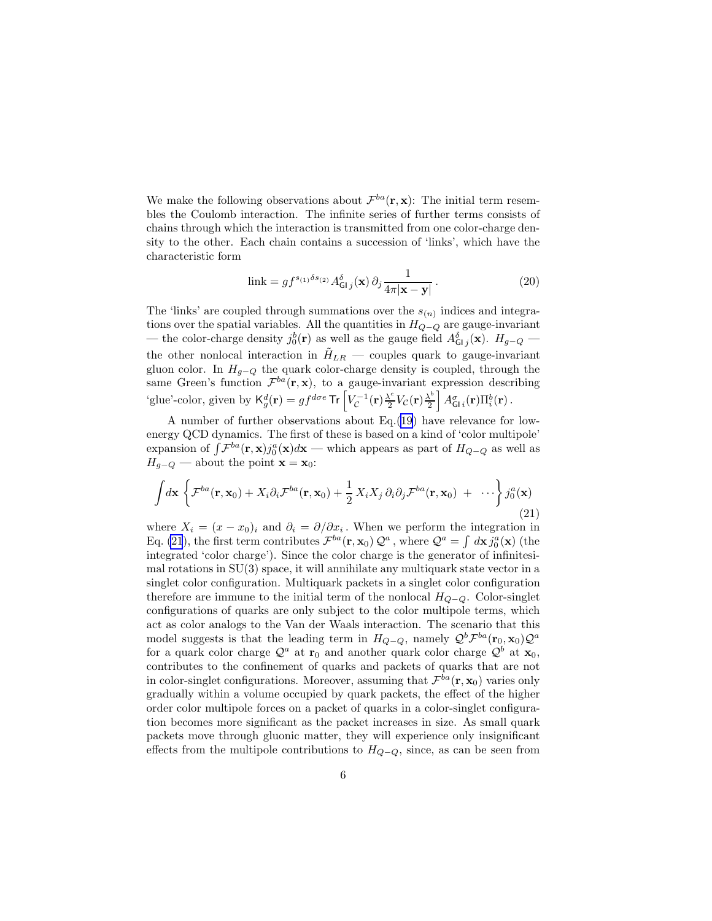<span id="page-5-0"></span>We make the following observations about  $\mathcal{F}^{ba}(\mathbf{r}, \mathbf{x})$ : The initial term resembles the Coulomb interaction. The infinite series of further terms consists of chains through which the interaction is transmitted from one color-charge density to the other. Each chain contains a succession of 'links', which have the characteristic form

link = 
$$
gf^{s_{(1)}\delta s_{(2)}} A^{\delta}_{\mathsf{GI}j}(\mathbf{x}) \partial_j \frac{1}{4\pi |\mathbf{x} - \mathbf{y}|}.
$$
 (20)

The 'links' are coupled through summations over the  $s_{(n)}$  indices and integrations over the spatial variables. All the quantities in  $H_{Q-Q}$  are gauge-invariant — the color-charge density  $j_0^b(\mathbf{r})$  as well as the gauge field  $A_{\mathsf{GI}\,j}^{\delta}(\mathbf{x})$ .  $H_{g-Q}$  the other nonlocal interaction in  $H_{LR}$  — couples quark to gauge-invariant gluon color. In  $H_{g-Q}$  the quark color-charge density is coupled, through the same Green's function  $\mathcal{F}^{ba}(\mathbf{r}, \mathbf{x})$ , to a gauge-invariant expression describing 'glue'-color, given by  $\mathsf{K}_{g}^{d}(\mathbf{r}) = gf^{d\sigma e}$  Tr  $\left[ V_{\mathcal{C}}^{-1}(\mathbf{r}) \frac{\lambda^{e}}{2} \right]$  $\frac{\lambda^e}{2}V_{\mathcal{C}}({\bf r})\frac{\lambda^b}{2}$  $\frac{\lambda^{b}}{2}\left|\,A_{\mathsf{GI}\,i}^{\sigma}(\mathbf{r})\Pi_{i}^{b}(\mathbf{r})\right..$ 

A number of further observations about Eq.([19\)](#page-4-0) have relevance for lowenergy QCD dynamics. The first of these is based on a kind of 'color multipole' expansion of  $\int \mathcal{F}^{ba}(\mathbf{r}, \mathbf{x}) j_0^a(\mathbf{x}) d\mathbf{x}$  — which appears as part of  $H_{Q-Q}$  as well as  $H_{q-Q}$  — about the point  $\mathbf{x} = \mathbf{x}_0$ :

$$
\int d\mathbf{x} \left\{ \mathcal{F}^{ba}(\mathbf{r}, \mathbf{x}_0) + X_i \partial_i \mathcal{F}^{ba}(\mathbf{r}, \mathbf{x}_0) + \frac{1}{2} X_i X_j \partial_i \partial_j \mathcal{F}^{ba}(\mathbf{r}, \mathbf{x}_0) + \cdots \right\} j_0^a(\mathbf{x})
$$
\n(21)

where  $X_i = (x - x_0)_i$  and  $\partial_i = \partial/\partial x_i$ . When we perform the integration in Eq. (21), the first term contributes  $\mathcal{F}^{ba}(\mathbf{r}, \mathbf{x}_0) \mathcal{Q}^a$ , where  $\mathcal{Q}^a = \int d\mathbf{x} j_0^a(\mathbf{x})$  (the integrated 'color charge'). Since the color charge is the generator of infinitesimal rotations in SU(3) space, it will annihilate any multiquark state vector in a singlet color configuration. Multiquark packets in a singlet color configuration therefore are immune to the initial term of the nonlocal  $H_{Q-Q}$ . Color-singlet configurations of quarks are only subject to the color multipole terms, which act as color analogs to the Van der Waals interaction. The scenario that this model suggests is that the leading term in  $H_{Q-Q}$ , namely  $\mathcal{Q}^b \mathcal{F}^{ba}(\mathbf{r}_0, \mathbf{x}_0) \mathcal{Q}^a$ for a quark color charge  $\mathcal{Q}^a$  at  $\mathbf{r}_0$  and another quark color charge  $\mathcal{Q}^b$  at  $\mathbf{x}_0$ , contributes to the confinement of quarks and packets of quarks that are not in color-singlet configurations. Moreover, assuming that  $\mathcal{F}^{ba}(\mathbf{r}, \mathbf{x}_0)$  varies only gradually within a volume occupied by quark packets, the effect of the higher order color multipole forces on a packet of quarks in a color-singlet configuration becomes more significant as the packet increases in size. As small quark packets move through gluonic matter, they will experience only insignificant effects from the multipole contributions to  $H_{Q-Q}$ , since, as can be seen from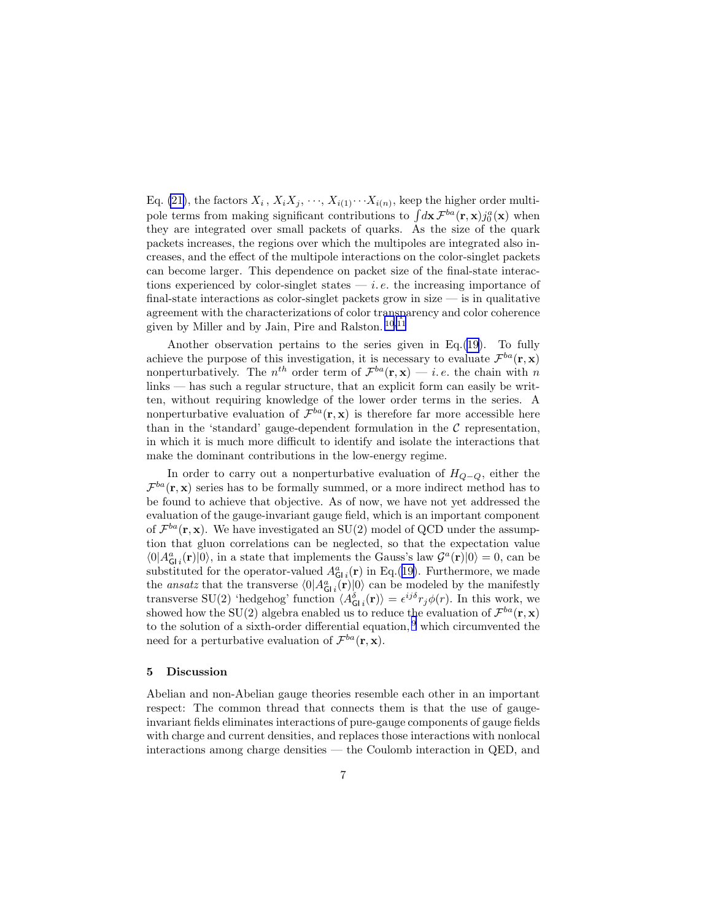Eq. [\(21\)](#page-5-0), the factors  $X_i$ ,  $X_iX_j$ ,  $\cdots$ ,  $X_{i(1)}\cdots X_{i(n)}$ , keep the higher order multipole terms from making significant contributions to  $\int d\mathbf{x} \mathcal{F}^{ba}(\mathbf{r}, \mathbf{x}) j_0^a(\mathbf{x})$  when they are integrated over small packets of quarks. As the size of the quark packets increases, the regions over which the multipoles are integrated also increases, and the effect of the multipole interactions on the color-singlet packets can become larger. This dependence on packet size of the final-state interactions experienced by color-singlet states  $-i.e.$  the increasing importance of final-state interactions as color-singlet packets grow in size  $-$  is in qualitative agreement with the characterizations of color transparency and color coherence given by Miller and by Jain, Pire and Ralston. [10](#page-7-0),[11](#page-7-0)

Another observation pertains to the series given in Eq.([19\)](#page-4-0). To fully achieve the purpose of this investigation, it is necessary to evaluate  $\mathcal{F}^{ba}(\mathbf{r}, \mathbf{x})$ nonperturbatively. The  $n^{th}$  order term of  $\mathcal{F}^{ba}(\mathbf{r}, \mathbf{x}) - i.e.$  the chain with n links — has such a regular structure, that an explicit form can easily be written, without requiring knowledge of the lower order terms in the series. A nonperturbative evaluation of  $\mathcal{F}^{ba}(\mathbf{r}, \mathbf{x})$  is therefore far more accessible here than in the 'standard' gauge-dependent formulation in the  $C$  representation, in which it is much more difficult to identify and isolate the interactions that make the dominant contributions in the low-energy regime.

In order to carry out a nonperturbative evaluation of  $H_{Q-Q}$ , either the  $\mathcal{F}^{ba}(\mathbf{r}, \mathbf{x})$  series has to be formally summed, or a more indirect method has to be found to achieve that objective. As of now, we have not yet addressed the evaluation of the gauge-invariant gauge field, which is an important component of  $\mathcal{F}^{ba}(\mathbf{r}, \mathbf{x})$ . We have investigated an SU(2) model of QCD under the assumption that gluon correlations can be neglected, so that the expectation value  $\langle 0|A_{GI}^a(\mathbf{r})|0\rangle$ , in a state that implements the Gauss's law  $\mathcal{G}^a(\mathbf{r})|0\rangle = 0$ , can be substituted for the operator-valued  $A_{GI}^a(\mathbf{r})$  in Eq.([19\)](#page-4-0). Furthermore, we made the *ansatz* that the transverse  $\langle 0|A_{GI}^a(\mathbf{r})|0\rangle$  can be modeled by the manifestly transverse SU(2) 'hedgehog' function  $\langle A_{GI}^{\delta}(\mathbf{r})\rangle = \epsilon^{ij\delta}r_j\phi(r)$ . In this work, we showed how the SU(2) algebra enabled us to reduce the evaluation of  $\mathcal{F}^{ba}(\mathbf{r}, \mathbf{x})$ to the solution of a sixth-order differential equation,  $9$  which circumvented the need for a perturbative evaluation of  $\mathcal{F}^{ba}(\mathbf{r}, \mathbf{x})$ .

## 5 Discussion

Abelian and non-Abelian gauge theories resemble each other in an important respect: The common thread that connects them is that the use of gaugeinvariant fields eliminates interactions of pure-gauge components of gauge fields with charge and current densities, and replaces those interactions with nonlocal interactions among charge densities — the Coulomb interaction in QED, and